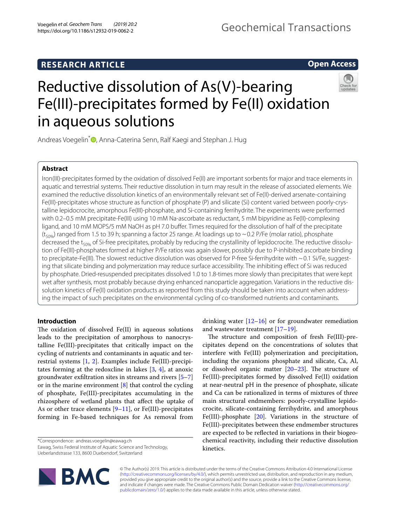# **RESEARCH ARTICLE**

# **Open Access**



# Reductive dissolution of As(V)-bearing Fe(III)-precipitates formed by Fe(II) oxidation in aqueous solutions

Andreas Voegelin<sup>\*</sup><sup>1</sup>[,](http://orcid.org/0000-0003-2873-8966) Anna-Caterina Senn, Ralf Kaegi and Stephan J. Hug

# **Abstract**

Iron(III)-precipitates formed by the oxidation of dissolved Fe(II) are important sorbents for major and trace elements in aquatic and terrestrial systems. Their reductive dissolution in turn may result in the release of associated elements. We examined the reductive dissolution kinetics of an environmentally relevant set of Fe(II)-derived arsenate-containing Fe(III)-precipitates whose structure as function of phosphate (P) and silicate (Si) content varied between poorly-crystalline lepidocrocite, amorphous Fe(III)-phosphate, and Si-containing ferrihydrite. The experiments were performed with 0.2–0.5 mM precipitate-Fe(III) using 10 mM Na-ascorbate as reductant, 5 mM bipyridine as Fe(II)-complexing ligand, and 10 mM MOPS/5 mM NaOH as pH 7.0 buffer. Times required for the dissolution of half of the precipitate  $(t_{50\%})$  ranged from 1.5 to 39 h; spanning a factor 25 range. At loadings up to ~0.2 P/Fe (molar ratio), phosphate decreased the t<sub>50%</sub> of Si-free precipitates, probably by reducing the crystallinity of lepidocrocite. The reductive dissolution of Fe(III)-phosphates formed at higher P/Fe ratios was again slower, possibly due to P-inhibited ascorbate binding to precipitate-Fe(III). The slowest reductive dissolution was observed for P-free Si-ferrihydrite with  $\sim$  0.1 Si/Fe, suggesting that silicate binding and polymerization may reduce surface accessibility. The inhibiting efect of Si was reduced by phosphate. Dried-resuspended precipitates dissolved 1.0 to 1.8-times more slowly than precipitates that were kept wet after synthesis, most probably because drying enhanced nanoparticle aggregation. Variations in the reductive dissolution kinetics of Fe(II) oxidation products as reported from this study should be taken into account when addressing the impact of such precipitates on the environmental cycling of co-transformed nutrients and contaminants.

# **Introduction**

The oxidation of dissolved  $Fe(II)$  in aqueous solutions leads to the precipitation of amorphous to nanocrystalline Fe(III)-precipitates that critically impact on the cycling of nutrients and contaminants in aquatic and terrestrial systems [[1,](#page-11-0) [2](#page-11-1)]. Examples include Fe(III)-precipitates forming at the redoxcline in lakes  $[3, 4]$  $[3, 4]$  $[3, 4]$ , at anoxic groundwater exfltration sites in streams and rivers [[5–](#page-11-4)[7](#page-11-5)] or in the marine environment  $[8]$  $[8]$  that control the cycling of phosphate, Fe(III)-precipitates accumulating in the rhizosphere of wetland plants that afect the uptake of As or other trace elements  $[9-11]$  $[9-11]$  $[9-11]$ , or Fe(III)-precipitates forming in Fe-based techniques for As removal from

\*Correspondence: andreas.voegelin@eawag.ch

Eawag, Swiss Federal Institute of Aquatic Science and Technology, Ueberlandstrasse 133, 8600 Duebendorf, Switzerland



drinking water  $[12–16]$  $[12–16]$  $[12–16]$  $[12–16]$  or for groundwater remediation and wastewater treatment [\[17](#page-11-11)[–19](#page-11-12)].

The structure and composition of fresh Fe(III)-precipitates depend on the concentrations of solutes that interfere with Fe(III) polymerization and precipitation, including the oxyanions phosphate and silicate, Ca, Al, or dissolved organic matter  $[20-23]$  $[20-23]$ . The structure of Fe(III)-precipitates formed by dissolved Fe(II) oxidation at near-neutral pH in the presence of phosphate, silicate and Ca can be rationalized in terms of mixtures of three main structural endmembers: poorly-crystalline lepidocrocite, silicate-containing ferrihydrite, and amorphous Fe(III)-phosphate [[20](#page-11-13)]. Variations in the structure of Fe(III)-precipitates between these endmember structures are expected to be refected in variations in their biogeochemical reactivity, including their reductive dissolution kinetics.

© The Author(s) 2019. This article is distributed under the terms of the Creative Commons Attribution 4.0 International License [\(http://creativecommons.org/licenses/by/4.0/\)](http://creativecommons.org/licenses/by/4.0/), which permits unrestricted use, distribution, and reproduction in any medium, provided you give appropriate credit to the original author(s) and the source, provide a link to the Creative Commons license, and indicate if changes were made. The Creative Commons Public Domain Dedication waiver ([http://creativecommons.org/](http://creativecommons.org/publicdomain/zero/1.0/) [publicdomain/zero/1.0/](http://creativecommons.org/publicdomain/zero/1.0/)) applies to the data made available in this article, unless otherwise stated.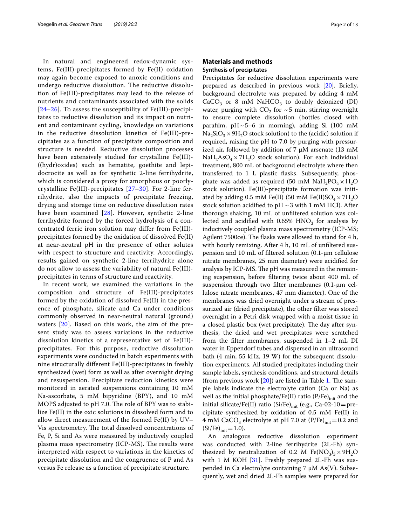In natural and engineered redox-dynamic systems, Fe(III)-precipitates formed by Fe(II) oxidation may again become exposed to anoxic conditions and undergo reductive dissolution. The reductive dissolution of Fe(III)-precipitates may lead to the release of nutrients and contaminants associated with the solids [[24](#page-11-15)[–26\]](#page-11-16). To assess the susceptibility of Fe(III)-precipitates to reductive dissolution and its impact on nutrient and contaminant cycling, knowledge on variations in the reductive dissolution kinetics of Fe(III)-precipitates as a function of precipitate composition and structure is needed. Reductive dissolution processes have been extensively studied for crystalline Fe(III)- ((hydr)oxides) such as hematite, goethite and lepidocrocite as well as for synthetic 2-line ferrihydrite, which is considered a proxy for amorphous or poorlycrystalline Fe(III)-precipitates [[27](#page-11-17)[–30\]](#page-11-18). For 2-line ferrihydrite, also the impacts of precipitate freezing, drying and storage time on reductive dissolution rates have been examined [[28](#page-11-19)]. However, synthetic 2-line ferrihydrite formed by the forced hydrolysis of a concentrated ferric iron solution may differ from Fe(III) precipitates formed by the oxidation of dissolved Fe(II) at near-neutral pH in the presence of other solutes with respect to structure and reactivity. Accordingly, results gained on synthetic 2-line ferrihydrite alone do not allow to assess the variability of natural Fe(III) precipitates in terms of structure and reactivity.

In recent work, we examined the variations in the composition and structure of Fe(III)-precipitates formed by the oxidation of dissolved Fe(II) in the presence of phosphate, silicate and Ca under conditions commonly observed in near-neutral natural (ground) waters [[20\]](#page-11-13). Based on this work, the aim of the present study was to assess variations in the reductive dissolution kinetics of a representative set of Fe(III) precipitates. For this purpose, reductive dissolution experiments were conducted in batch experiments with nine structurally diferent Fe(III)-precipitates in freshly synthesized (wet) form as well as after overnight drying and resuspension. Precipitate reduction kinetics were monitored in aerated suspensions containing 10 mM Na-ascorbate, 5 mM bipyridine (BPY), and 10 mM MOPS adjusted to pH 7.0. The role of BPY was to stabilize Fe(II) in the oxic solutions in dissolved form and to allow direct measurement of the formed Fe(II) by UV– Vis spectrometry. The total dissolved concentrations of Fe, P, Si and As were measured by inductively coupled plasma mass spectrometry (ICP-MS). The results were interpreted with respect to variations in the kinetics of precipitate dissolution and the congruence of P and As versus Fe release as a function of precipitate structure.

# **Materials and methods Synthesis of precipitates**

Precipitates for reductive dissolution experiments were prepared as described in previous work [\[20](#page-11-13)]. Briefy, background electrolyte was prepared by adding 4 mM  $CaCO<sub>3</sub>$  or 8 mM NaHCO<sub>3</sub> to doubly deionized (DI) water, purging with  $CO<sub>2</sub>$  for ~5 min, stirring overnight to ensure complete dissolution (bottles closed with parafilm,  $pH \sim 5-6$  in morning), adding Si (100 mM  $Na<sub>2</sub>SiO<sub>3</sub> \times 9H<sub>2</sub>O$  stock solution) to the (acidic) solution if required, raising the pH to 7.0 by purging with pressurized air, followed by addition of 7  $\mu$ M arsenate (13 mM  $NaH<sub>2</sub>AsO<sub>4</sub> × 7H<sub>2</sub>O$  stock solution). For each individual treatment, 800 mL of background electrolyte where then transferred to 1 L plastic fasks. Subsequently, phosphate was added as required (50 mM  $NaH_2PO_4 \times H_2O$ stock solution). Fe(III)-precipitate formation was initiated by adding 0.5 mM Fe(II) (50 mM Fe(II)SO<sub>4</sub>  $\times$  7H<sub>2</sub>O stock solution acidified to pH  $\sim$  3 with 1 mM HCl). After thorough shaking, 10 mL of unfltered solution was collected and acidified with  $0.65\%$  HNO<sub>3</sub> for analysis by inductively coupled plasma mass spectrometry (ICP-MS; Agilent 7500ce). The flasks were allowed to stand for 4 h, with hourly remixing. After 4 h, 10 mL of unfltered suspension and 10 mL of fltered solution (0.1-µm cellulose nitrate membranes, 25 mm diameter) were acidifed for analysis by ICP-MS. The pH was measured in the remaining suspension, before fltering twice about 400 mL of suspension through two filter membranes (0.1-µm cellulose nitrate membranes, 47 mm diameter). One of the membranes was dried overnight under a stream of pressurized air (dried precipitate), the other flter was stored overnight in a Petri disk wrapped with a moist tissue in a closed plastic box (wet precipitate). The day after synthesis, the dried and wet precipitates were scratched from the flter membranes, suspended in 1–2 mL DI water in Eppendorf tubes and dispersed in an ultrasound bath (4 min; 55 kHz, 19 W) for the subsequent dissolution experiments. All studied precipitates including their sample labels, synthesis conditions, and structural details (from previous work  $[20]$  $[20]$ ) are listed in Table [1](#page-2-0). The sample labels indicate the electrolyte cation (Ca or Na) as well as the initial phosphate/Fe(II) ratio  $(P/Fe)_{init}$  and the initial silicate/Fe(II) ratio (Si/Fe) $_{\text{init}}$  (e.g., Ca-02-10 = precipitate synthesized by oxidation of 0.5 mM Fe(II) in 4 mM CaCO<sub>3</sub> electrolyte at pH 7.0 at  $(P/Fe)_{init}=0.2$  and  $(Si/Fe)_{init} = 1.0$ .

An analogous reductive dissolution experiment was conducted with 2-line ferrihydrite (2L-Fh) synthesized by neutralization of 0.2 M Fe(NO<sub>3</sub>)<sub>3</sub>  $\times$  9H<sub>2</sub>O with 1 M KOH  $[31]$ . Freshly prepared 2L-Fh was suspended in Ca electrolyte containing 7 µM As(V). Subsequently, wet and dried 2L-Fh samples were prepared for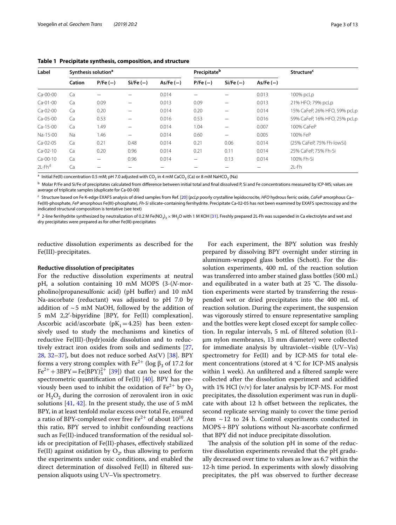| Label                 | Synthesis solution <sup>a</sup> |                 |             |             | Precipitate <sup>b</sup> |             |             | <b>Structure</b> <sup>c</sup> |  |
|-----------------------|---------------------------------|-----------------|-------------|-------------|--------------------------|-------------|-------------|-------------------------------|--|
|                       | Cation                          | $P/Fe(-)$       | $Si/Fe (-)$ | $As/Fe (-)$ | $P/Fe(-)$                | $Si/Fe (-)$ | $As/Fe (-)$ |                               |  |
| Ca-00-00              | Ca                              | —               |             | 0.014       |                          |             | 0.013       | 100% pcLp                     |  |
| Ca-01-00              | Ca                              | 0.09            |             | 0.013       | 0.09                     |             | 0.013       | 21% HFO; 79% pcLp             |  |
| Ca-02-00              | Ca                              | 0.20            |             | 0.014       | 0.20                     |             | 0.014       | 15% CaFeP, 26% HFO, 59% pcLp  |  |
| Ca-05-00              | Ca                              | 0.53            |             | 0.016       | 0.53                     |             | 0.016       | 59% CaFeP, 16% HFO, 25% pcLp  |  |
| $Ca-15-00$            | Ca                              | 1.49            |             | 0.014       | 1.04                     |             | 0.007       | 100% CaFeP                    |  |
| Na-15-00              | <b>Na</b>                       | 1.46            |             | 0.014       | 0.60                     |             | 0.005       | 100% FeP                      |  |
| Ca-02-05              | Ca                              | 0.21            | 0.48        | 0.014       | 0.21                     | 0.06        | 0.014       | (25% CaFeP, 75% Fh-lowSi)     |  |
| $Ca-O2-10$            | Ca                              | 0.20            | 0.96        | 0.014       | 0.21                     | 0.11        | 0.014       | 25% CaFeP, 75% Fh-Si          |  |
| $Ca-OO-10$            | Ca                              | $\qquad \qquad$ | 0.96        | 0.014       | —                        | 0.13        | 0.014       | 100% Fh-Si                    |  |
| $2L$ -Fh <sup>d</sup> | Ca                              |                 |             |             |                          |             |             | $2L$ -Fh                      |  |

<span id="page-2-0"></span>**Table 1 Precipitate synthesis, composition, and structure**

<sup>a</sup> Initial Fe(II) concentration 0.5 mM; pH 7.0 adjusted with CO<sub>2</sub> in 4 mM CaCO<sub>3</sub> (Ca) or 8 mM NaHCO<sub>3</sub> (Na)

b Molar P/Fe and Si/Fe of precipitates calculated from difference between initial total and final dissolved P, Si and Fe concentrations measured by ICP-MS; values are average of triplicate samples (duplicate for Ca-00-00)

<sup>c</sup> Structure based on Fe K-edge EXAFS analysis of dried samples from Ref. [[20](#page-11-13)] (*pcLp* poorly crystalline lepidocrocite, *HFO* hydrous ferric oxide, *CaFeP* amorphous Ca– Fe(III)-phosphate, *FeP* amorphous Fe(III)-phosphate), *Fh-Si* silicate-containing ferrihydrite. Precipitate Ca-02-05 has not been examined by EXAFS spectroscopy and the indicated structural composition is tentative (see text)

<sup>d</sup> 2-line ferrihydrite synthesized by neutralization of 0.2 M Fe(NO<sub>3</sub>)<sub>3</sub> × 9H<sub>2</sub>O with 1 M KOH [[31\]](#page-11-20). Freshly prepared 2L-Fh was suspended in Ca electrolyte and wet and dry precipitates were prepared as for other Fe(III)-precipitates

reductive dissolution experiments as described for the Fe(III)-precipitates.

#### **Reductive dissolution of precipitates**

For the reductive dissolution experiments at neutral pH, a solution containing 10 mM MOPS (3-(*N*-morpholino)propanesulfonic acid) (pH buffer) and 10 mM Na-ascorbate (reductant) was adjusted to pH 7.0 by addition of  $\sim$  5 mM NaOH, followed by the addition of 5 mM 2,2′-bipyridine [BPY, for Fe(II) complexation]. Ascorbic acid/ascorbate ( $pK_1$ =4.25) has been extensively used to study the mechanisms and kinetics of reductive Fe(III)-(hydr)oxide dissolution and to reductively extract iron oxides from soils and sediments [\[27](#page-11-17), [28,](#page-11-19) [32–](#page-11-21)[37](#page-11-22)], but does not reduce sorbed As(V)  $[38]$  $[38]$  $[38]$ . BPY forms a very strong complex with  $Fe^{2+}$  (log  $\beta_3$  of 17.2 for  $\text{Fe}^{2+} + 3\text{BPY} = \text{Fe}(\text{BPY})_3^{2+}$  [[39\]](#page-11-24)) that can be used for the spectrometric quantifcation of Fe(II) [\[40](#page-11-25)]. BPY has previously been used to inhibit the oxidation of  $Fe^{2+}$  by  $O_2$ or  $H_2O_2$  during the corrosion of zerovalent iron in oxic solutions  $[41, 42]$  $[41, 42]$  $[41, 42]$ . In the present study, the use of 5 mM BPY, in at least tenfold molar excess over total Fe, ensured a ratio of BPY-complexed over free  $Fe^{2+}$  of about  $10^{10}$ . At this ratio, BPY served to inhibit confounding reactions such as Fe(II)-induced transformation of the residual solids or precipitation of Fe(II)-phases, efectively stabilized Fe(II) against oxidation by  $O_2$ , thus allowing to perform the experiments under oxic conditions, and enabled the direct determination of dissolved Fe(II) in fltered suspension aliquots using UV–Vis spectrometry.

For each experiment, the BPY solution was freshly prepared by dissolving BPY overnight under stirring in aluminum-wrapped glass bottles (Schott). For the dissolution experiments, 400 mL of the reaction solution was transferred into amber stained glass bottles (500 mL) and equilibrated in a water bath at  $25$  °C. The dissolution experiments were started by transferring the resuspended wet or dried precipitates into the 400 mL of reaction solution. During the experiment, the suspension was vigorously stirred to ensure representative sampling and the bottles were kept closed except for sample collection. In regular intervals, 5 mL of fltered solution (0.1 µm nylon membranes, 13 mm diameter) were collected for immediate analysis by ultraviolet–visible (UV–Vis) spectrometry for Fe(II) and by ICP-MS for total element concentrations (stored at 4 °C for ICP-MS analysis within 1 week). An unfltered and a fltered sample were collected after the dissolution experiment and acidifed with 1% HCl (v/v) for later analysis by ICP-MS. For most precipitates, the dissolution experiment was run in duplicate with about 12 h ofset between the replicates, the second replicate serving mainly to cover the time period from  $\sim$  12 to 24 h. Control experiments conducted in MOPS+BPY solutions without Na-ascorbate confrmed that BPY did not induce precipitate dissolution.

The analysis of the solution pH in some of the reductive dissolution experiments revealed that the pH gradually decreased over time to values as low as 6.7 within the 12-h time period. In experiments with slowly dissolving precipitates, the pH was observed to further decrease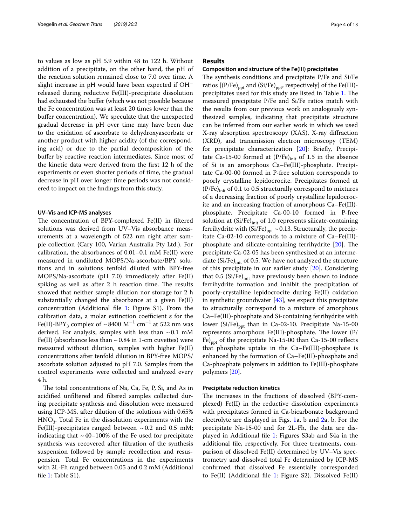to values as low as pH 5.9 within 48 to 122 h. Without addition of a precipitate, on the other hand, the pH of the reaction solution remained close to 7.0 over time. A slight increase in pH would have been expected if OH<sup>−</sup> released during reductive Fe(III)-precipitate dissolution had exhausted the bufer (which was not possible because the Fe concentration was at least 20 times lower than the buffer concentration). We speculate that the unexpected gradual decrease in pH over time may have been due to the oxidation of ascorbate to dehydroxyascorbate or another product with higher acidity (of the corresponding acid) or due to the partial decomposition of the buffer by reactive reaction intermediates. Since most of the kinetic data were derived from the frst 12 h of the experiments or even shorter periods of time, the gradual decrease in pH over longer time periods was not considered to impact on the fndings from this study.

#### **UV–Vis and ICP‑MS analyses**

The concentration of BPY-complexed Fe(II) in filtered solutions was derived from UV–Vis absorbance measurements at a wavelength of 522 nm right after sample collection (Cary 100, Varian Australia Pty Ltd.). For calibration, the absorbances of 0.01–0.1 mM Fe(II) were measured in undiluted MOPS/Na-ascorbate/BPY solutions and in solutions tenfold diluted with BPY-free MOPS/Na-ascorbate (pH 7.0) immediately after Fe(II) spiking as well as after 2 h reaction time. The results showed that neither sample dilution nor storage for 2 h substantially changed the absorbance at a given Fe(II) concentration (Additional fle [1](#page-10-0): Figure S1). From the calibration data, a molar extinction coefficient  $\varepsilon$  for the Fe(II)-BPY<sub>3</sub> complex of ~8400 M<sup>-1</sup> cm<sup>-1</sup> at 522 nm was derived. For analysis, samples with less than  $\sim 0.1$  mM Fe(II) (absorbance less than  $\sim$  0.84 in 1-cm cuvettes) were measured without dilution, samples with higher Fe(II) concentrations after tenfold dilution in BPY-free MOPS/ ascorbate solution adjusted to pH 7.0. Samples from the control experiments were collected and analyzed every 4 h.

The total concentrations of Na, Ca, Fe, P, Si, and As in acidifed unfltered and fltered samples collected during precipitate synthesis and dissolution were measured using ICP-MS, after dilution of the solutions with 0.65%  $HNO<sub>3</sub>$ . Total Fe in the dissolution experiments with the Fe(III)-precipitates ranged between  $\sim 0.2$  and 0.5 mM; indicating that  $\sim$  40–100% of the Fe used for precipitate synthesis was recovered after fltration of the synthesis suspension followed by sample recollection and resuspension. Total Fe concentrations in the experiments with 2L-Fh ranged between 0.05 and 0.2 mM (Additional fle [1](#page-10-0): Table S1).

# **Results**

#### **Composition and structure of the Fe(III) precipitates**

The synthesis conditions and precipitate P/Fe and Si/Fe ratios  $[(P/Fe)_{\text{ppt}}$  and  $(Si/Fe)_{\text{ppt}}$ , respectively] of the Fe(III)-precipitates used for this study are listed in Table [1.](#page-2-0) The measured precipitate P/Fe and Si/Fe ratios match with the results from our previous work on analogously synthesized samples, indicating that precipitate structure can be inferred from our earlier work in which we used X-ray absorption spectroscopy (XAS), X-ray difraction (XRD), and transmission electron microscopy (TEM) for precipitate characterization [[20](#page-11-13)]: Briefy, Precipitate Ca-15-00 formed at  $(P/Fe)_{init}$  of 1.5 in the absence of Si is an amorphous Ca–Fe(III)-phosphate. Precipitate Ca-00-00 formed in P-free solution corresponds to poorly crystalline lepidocrocite. Precipitates formed at  $(P/Fe)_{init}$  of 0.1 to 0.5 structurally correspond to mixtures of a decreasing fraction of poorly crystalline lepidocrocite and an increasing fraction of amorphous Ca–Fe(III) phosphate. Precipitate Ca-00-10 formed in P-free solution at  $(Si/Fe)_{init}$  of 1.0 represents silicate-containing ferrihydrite with  $(Si/Fe)_{\text{ppt}} \sim 0.13$ . Structurally, the precipitate Ca-02-10 corresponds to a mixture of Ca–Fe(III) phosphate and silicate-containing ferrihydrite  $[20]$  $[20]$ . The precipitate Ca-02-05 has been synthesized at an intermediate  $(Si/Fe)_{init}$  of 0.5. We have not analyzed the structure of this precipitate in our earlier study [[20\]](#page-11-13). Considering that 0.5 (Si/Fe) $_{\text{init}}$  have previously been shown to induce ferrihydrite formation and inhibit the precipitation of poorly-crystalline lepidocrocite during Fe(II) oxidation in synthetic groundwater  $[43]$  $[43]$  $[43]$ , we expect this precipitate to structurally correspond to a mixture of amorphous Ca–Fe(III)-phosphate and Si-containing ferrihydrite with lower  $(Si/Fe)_{\text{ppt}}$  than in Ca-02-10. Precipitate Na-15-00 represents amorphous Fe(III)-phosphate. The lower (P/ Fe)<sub>ppt</sub> of the precipitate Na-15-00 than Ca-15-00 reflects that phosphate uptake in the Ca–Fe(III)-phosphate is enhanced by the formation of Ca–Fe(III)-phosphate and Ca-phosphate polymers in addition to Fe(III)-phosphate polymers [\[20\]](#page-11-13).

#### **Precipitate reduction kinetics**

The increases in the fractions of dissolved (BPY-complexed) Fe(II) in the reductive dissolution experiments with precipitates formed in Ca-bicarbonate background electrolyte are displayed in Figs. [1](#page-4-0)a, b and [2a](#page-5-0), b. For the precipitate Na-15-00 and for 2L-Fh, the data are displayed in Additional fle [1:](#page-10-0) Figures S3ab and S4a in the additional fle, respectively. For three treatments, comparison of dissolved Fe(II) determined by UV–Vis spectrometry and dissolved total Fe determined by ICP-MS confrmed that dissolved Fe essentially corresponded to Fe(II) (Additional fle [1](#page-10-0): Figure S2). Dissolved Fe(II)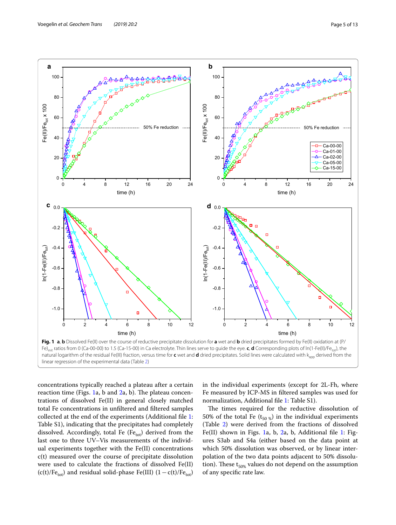

<span id="page-4-0"></span>natural logarithm of the residual Fe(III) fraction, versus time for c wet and d dried precipitates. Solid lines were calculated with k<sub>app</sub> derived from the linear regression of the experimental data (Table [2](#page-6-0))

concentrations typically reached a plateau after a certain reaction time (Figs. [1a](#page-4-0), b and  $2a$  $2a$ , b). The plateau concentrations of dissolved Fe(II) in general closely matched total Fe concentrations in unfltered and fltered samples collected at the end of the experiments (Additional fle [1](#page-10-0): Table S1), indicating that the precipitates had completely dissolved. Accordingly, total Fe (Fetot) derived from the last one to three UV–Vis measurements of the individual experiments together with the Fe(II) concentrations c(t) measured over the course of precipitate dissolution were used to calculate the fractions of dissolved Fe(II)  $(c(t)/Fe_{tot})$  and residual solid-phase Fe(III)  $(1 - c(t)/Fe_{tot})$ 

in the individual experiments (except for 2L-Fh, where Fe measured by ICP-MS in fltered samples was used for normalization, Additional fle [1:](#page-10-0) Table S1).

The times required for the reductive dissolution of 50% of the total Fe ( $t_{50\%}$ ) in the individual experiments (Table [2\)](#page-6-0) were derived from the fractions of dissolved Fe(II) shown in Figs. [1](#page-4-0)a, b, [2a](#page-5-0), b, Additional fle [1:](#page-10-0) Figures S3ab and S4a (either based on the data point at which 50% dissolution was observed, or by linear interpolation of the two data points adjacent to 50% dissolution). These  $t_{50\%}$  values do not depend on the assumption of any specifc rate law.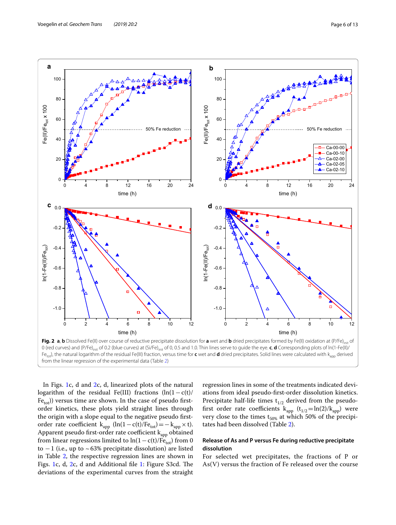

<span id="page-5-0"></span>In Figs. [1c](#page-4-0), d and [2c](#page-5-0), d, linearized plots of the natural logarithm of the residual Fe(III) fractions  $(ln(1 - c(t))$  $Fe<sub>tot</sub>$ )) versus time are shown. In the case of pseudo firstorder kinetics, these plots yield straight lines through the origin with a slope equal to the negative pseudo frstorder rate coefficient  $k_{app}$  (ln(1−c(t)/Fe<sub>tot</sub>)=−k<sub>app</sub> × t). Apparent pseudo first-order rate coefficient k<sub>app</sub> obtained from linear regressions limited to  $ln(1 - c(t)/Fe<sub>tot</sub>)$  from 0 to  $-1$  (i.e., up to ~63% precipitate dissolution) are listed in Table [2](#page-6-0), the respective regression lines are shown in Figs. [1c](#page-4-0), d, [2c](#page-5-0), d and Additional file [1](#page-10-0): Figure S3cd. The deviations of the experimental curves from the straight

regression lines in some of the treatments indicated deviations from ideal pseudo-frst-order dissolution kinetics. Precipitate half-life times  $t_{1/2}$  derived from the pseudofirst order rate coefficients  $k_{app}$  (t<sub>1/2</sub>=ln(2)/k<sub>app</sub>) were very close to the times  $t_{50\%}$  at which 50% of the precipitates had been dissolved (Table [2\)](#page-6-0).

# **Release of As and P versus Fe during reductive precipitate dissolution**

For selected wet precipitates, the fractions of P or As(V) versus the fraction of Fe released over the course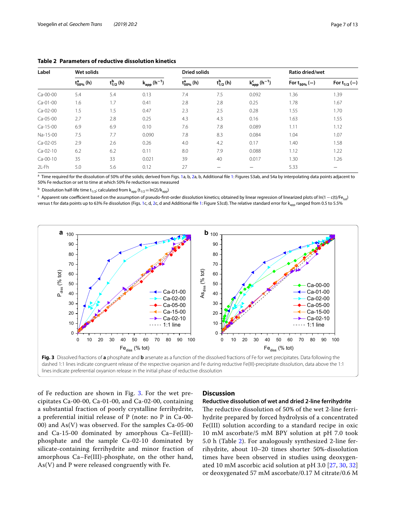| Page / o |  |
|----------|--|
|          |  |

| Label      | Wet solids         |                   |                              | <b>Dried solids</b> |                   | Ratio dried/wet                  |                   |                          |
|------------|--------------------|-------------------|------------------------------|---------------------|-------------------|----------------------------------|-------------------|--------------------------|
|            | $t_{50\%}^{a}$ (h) | $t_{1/2}^{b}$ (h) | $k_{app}$ (h <sup>-1</sup> ) | $t_{50\%}^{a}$ (h)  | $t_{1/2}^{b}$ (h) | $k_{app}^{c}$ (h <sup>-1</sup> ) | For $t_{50\%}(-)$ | For $t_{1/2}(-)$         |
| Ca-00-00   | 5.4                | 5.4               | 0.13                         | 7.4                 | 7.5               | 0.092                            | 1.36              | 1.39                     |
| $Ca-O1-O0$ | 1.6                | 1.7               | 0.41                         | 2.8                 | 2.8               | 0.25                             | 1.78              | 1.67                     |
| Ca-02-00   | 1.5                | 1.5               | 0.47                         | 2.3                 | 2.5               | 0.28                             | 1.55              | 1.70                     |
| Ca-05-00   | 2.7                | 2.8               | 0.25                         | 4.3                 | 4.3               | 0.16                             | 1.63              | 1.55                     |
| Ca-15-00   | 6.9                | 6.9               | 0.10                         | 7.6                 | 7.8               | 0.089                            | 1.11              | 1.12                     |
| Na-15-00   | 7.5                | 7.7               | 0.090                        | 7.8                 | 8.3               | 0.084                            | 1.04              | 1.07                     |
| Ca-02-05   | 2.9                | 2.6               | 0.26                         | 4.0                 | 4.2               | 0.17                             | 1.40              | 1.58                     |
| $Ca-O2-10$ | 6.2                | 6.2               | 0.11                         | 8.0                 | 7.9               | 0.088                            | 1.12              | 1.22                     |
| $Ca-OO-10$ | 35                 | 33                | 0.021                        | 39                  | 40                | 0.017                            | 1.30              | 1.26                     |
| $2L$ -Fh   | 5.0                | 5.6               | 0.12                         | 27                  | -                 | —                                | 5.33              | $\overline{\phantom{0}}$ |

<span id="page-6-0"></span>**Table 2 Parameters of reductive dissolution kinetics**

<sup>a</sup> Time required for the dissolution of 50% of the solids; derived from Figs. [1a](#page-4-0), b, [2](#page-5-0)a, b, Additional file [1](#page-10-0): Figures S3ab, and S4a by interpolating data points adjacent to 50% Fe reduction or set to time at which 50% Fe reduction was measured

<sup>b</sup> Dissolution half-life time t<sub>1/2</sub>; calculated from  $k_{app}$  (t<sub>1/2</sub>=ln(2)/ $k_{app}$ )

<sup>c</sup> Apparent rate coefficient based on the assumption of pseudo-first-order dissolution kinetics; obtained by linear regression of linearized plots of ln(1 – c(t)/Fe<sub>tot</sub>) versus t for data points up to 63% Fe dissolution (Figs. [1](#page-4-0)c, d, [2c](#page-5-0), d and Additional file [1:](#page-10-0) Figure S3cd). The relative standard error for k<sub>app</sub> ranged from 0.5 to 5.5%



<span id="page-6-1"></span>of Fe reduction are shown in Fig. [3](#page-6-1). For the wet precipitates Ca-00-00, Ca-01-00, and Ca-02-00, containing a substantial fraction of poorly crystalline ferrihydrite, a preferential initial release of P (note: no P in Ca-00- 00) and As(V) was observed. For the samples Ca-05-00 and Ca-15-00 dominated by amorphous Ca–Fe(III) phosphate and the sample Ca-02-10 dominated by silicate-containing ferrihydrite and minor fraction of amorphous Ca–Fe(III)-phosphate, on the other hand, As(V) and P were released congruently with Fe.

# **Discussion**

### **Reductive dissolution of wet and dried 2‑line ferrihydrite**

The reductive dissolution of 50% of the wet 2-line ferrihydrite prepared by forced hydrolysis of a concentrated Fe(III) solution according to a standard recipe in oxic 10 mM ascorbate/5 mM BPY solution at pH 7.0 took 5.0 h (Table [2](#page-6-0)). For analogously synthesized 2-line ferrihydrite, about 10–20 times shorter 50%-dissolution times have been observed in studies using deoxygenated 10 mM ascorbic acid solution at pH 3.0 [[27,](#page-11-17) [30,](#page-11-18) [32](#page-11-21)] or deoxygenated 57 mM ascorbate/0.17 M citrate/0.6 M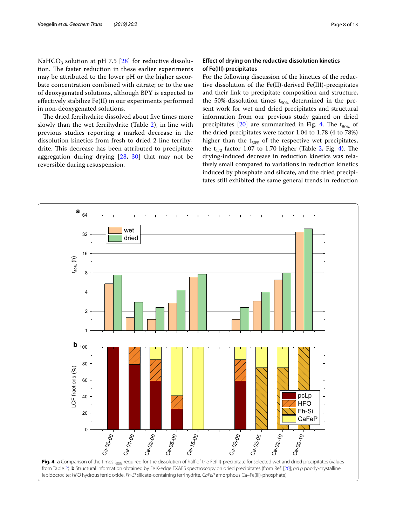NaHCO<sub>3</sub> solution at pH 7.5 [\[28\]](#page-11-19) for reductive dissolution. The faster reduction in these earlier experiments may be attributed to the lower pH or the higher ascorbate concentration combined with citrate; or to the use of deoxygenated solutions, although BPY is expected to efectively stabilize Fe(II) in our experiments performed in non-deoxygenated solutions.

The dried ferrihydrite dissolved about five times more slowly than the wet ferrihydrite (Table [2\)](#page-6-0), in line with previous studies reporting a marked decrease in the dissolution kinetics from fresh to dried 2-line ferrihydrite. This decrease has been attributed to precipitate aggregation during drying [\[28,](#page-11-19) [30](#page-11-18)] that may not be reversible during resuspension.

# **Efect of drying on the reductive dissolution kinetics of Fe(III)‑precipitates**

For the following discussion of the kinetics of the reductive dissolution of the Fe(II)-derived Fe(III)-precipitates and their link to precipitate composition and structure, the 50%-dissolution times  $t_{50\%}$  determined in the present work for wet and dried precipitates and structural information from our previous study gained on dried precipitates  $[20]$  $[20]$  are summarized in Fig. [4](#page-7-0). The  $t_{50\%}$  of the dried precipitates were factor 1.04 to 1.78 (4 to 78%) higher than the  $t_{50\%}$  of the respective wet precipitates, the  $t_{1/2}$  $t_{1/2}$  $t_{1/2}$  factor 1.07 to 1.70 higher (Table 2, Fig. [4\)](#page-7-0). The drying-induced decrease in reduction kinetics was relatively small compared to variations in reduction kinetics induced by phosphate and silicate, and the dried precipitates still exhibited the same general trends in reduction

<span id="page-7-0"></span>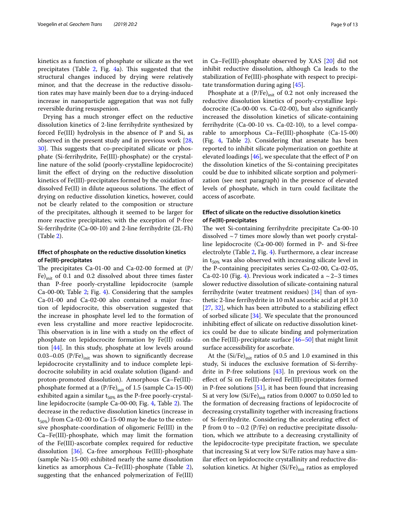kinetics as a function of phosphate or silicate as the wet precipitates (Table  $2$ , Fig.  $4a$  $4a$ ). This suggested that the structural changes induced by drying were relatively minor, and that the decrease in the reductive dissolution rates may have mainly been due to a drying-induced increase in nanoparticle aggregation that was not fully reversible during resuspenion.

Drying has a much stronger efect on the reductive dissolution kinetics of 2-line ferrihydrite synthesized by forced Fe(III) hydrolysis in the absence of P and Si, as observed in the present study and in previous work [\[28](#page-11-19), [30\]](#page-11-18). This suggests that co-precipitated silicate or phosphate (Si-ferrihydrite, Fe(III)-phosphate) or the crystalline nature of the solid (poorly-crystalline lepidocrocite) limit the efect of drying on the reductive dissolution kinetics of Fe(III)-precipitates formed by the oxidation of dissolved Fe(II) in dilute aqueous solutions. The effect of drying on reductive dissolution kinetics, however, could not be clearly related to the composition or structure of the precipitates, although it seemed to be larger for more reactive precipitates; with the exception of P-free Si-ferrihydrite (Ca-00-10) and 2-line ferrihydrite (2L-Fh) (Table [2](#page-6-0)).

# **Efect of phosphate on the reductive dissolution kinetics of Fe(III)‑precipitates**

The precipitates Ca-01-00 and Ca-02-00 formed at  $(P/$ Fe) $_{\text{init}}$  of 0.1 and 0.2 dissolved about three times faster than P-free poorly-crystalline lepidocrocite (sample Ca-00-00; Table [2;](#page-6-0) Fig. [4\)](#page-7-0). Considering that the samples Ca-01-00 and Ca-02-00 also contained a major fraction of lepidocrocite, this observation suggested that the increase in phosphate level led to the formation of even less crystalline and more reactive lepidocrocite. This observation is in line with a study on the effect of phosphate on lepidocrocite formation by Fe(II) oxidation [\[44](#page-12-2)]. In this study, phosphate at low levels around 0.03–0.05 (P/Fe) $_{\text{init}}$  was shown to significantly decrease lepidocrocite crystallinity and to induce complete lepidocrocite solubility in acid oxalate solution (ligand- and proton-promoted dissolution). Amorphous Ca–Fe(III) phosphate formed at a  $(P/Fe)_{init}$  of 1.5 (sample Ca-15-00) exhibited again a similar  $t_{50\%}$  as the P-free poorly-crystal-line lepidocrocite (sample Ca-00-00; Fig. [4,](#page-7-0) Table [2\)](#page-6-0). The decrease in the reductive dissolution kinetics (increase in  $t_{50\%}$ ) from Ca-02-00 to Ca-15-00 may be due to the extensive phosphate-coordination of oligomeric Fe(III) in the Ca–Fe(III)-phosphate, which may limit the formation of the Fe(III)-ascorbate complex required for reductive dissolution  $[36]$  $[36]$ . Ca-free amorphous Fe(III)-phosphate (sample Na-15-00) exhibited nearly the same dissolution kinetics as amorphous Ca–Fe(III)-phosphate (Table [2](#page-6-0)), suggesting that the enhanced polymerization of Fe(III)

in Ca–Fe(III)-phosphate observed by XAS [[20](#page-11-13)] did not inhibit reductive dissolution, although Ca leads to the stabilization of Fe(III)-phosphate with respect to precipitate transformation during aging [\[45](#page-12-3)].

Phosphate at a  $(P/Fe)_{init}$  of 0.2 not only increased the reductive dissolution kinetics of poorly-crystalline lepidocrocite (Ca-00-00 vs. Ca-02-00), but also signifcantly increased the dissolution kinetics of silicate-containing ferrihydrite (Ca-00-10 vs. Ca-02-10), to a level comparable to amorphous Ca–Fe(III)-phosphate (Ca-15-00) (Fig. [4,](#page-7-0) Table [2\)](#page-6-0). Considering that arsenate has been reported to inhibit silicate polymerization on goethite at elevated loadings  $[46]$ , we speculate that the effect of P on the dissolution kinetics of the Si-containing precipitates could be due to inhibited silicate sorption and polymerization (see next paragraph) in the presence of elevated levels of phosphate, which in turn could facilitate the access of ascorbate.

# **Efect of silicate on the reductive dissolution kinetics of Fe(III)‑precipitates**

The wet Si-containing ferrihydrite precipitate Ca-00-10 dissolved  $\sim$  7 times more slowly than wet poorly crystalline lepidocrocite (Ca-00-00) formed in P- and Si-free electrolyte (Table [2](#page-6-0), Fig. [4](#page-7-0)). Furthermore, a clear increase in  $t_{50\%}$  was also observed with increasing silicate level in the P-containing precipitates series Ca-02-00, Ca-02-05, Ca-02-10 (Fig. [4\)](#page-7-0). Previous work indicated a  $\sim$  2–3 times slower reductive dissolution of silicate-containing natural ferrihydrite (water treatment residues) [\[34](#page-11-28)] than of synthetic 2-line ferrihydrite in 10 mM ascorbic acid at pH 3.0 [[27,](#page-11-17) [32\]](#page-11-21), which has been attributed to a stabilizing effect of sorbed silicate [[34\]](#page-11-28). We speculate that the pronounced inhibiting efect of silicate on reductive dissolution kinetics could be due to silicate binding and polymerization on the Fe(III)-precipitate surface [\[46](#page-12-4)[–50\]](#page-12-5) that might limit surface accessibility for ascorbate.

At the  $(Si/Fe)_{init}$  ratios of 0.5 and 1.0 examined in this study, Si induces the exclusive formation of Si-ferrihydrite in P-free solutions [\[43\]](#page-12-1). In previous work on the efect of Si on Fe(II)-derived Fe(III)-precipitates formed in P-free solutions [[51\]](#page-12-6), it has been found that increasing Si at very low  $(Si/Fe)_{init}$  ratios from 0.0007 to 0.050 led to the formation of decreasing fractions of lepidocrocite of decreasing crystallinity together with increasing fractions of Si-ferrihydrite. Considering the accelerating efect of P from 0 to  $\sim$  0.2 (P/Fe) on reductive precipitate dissolution, which we attribute to a decreasing crystallinity of the lepidocrocite-type precipitate fraction, we speculate that increasing Si at very low Si/Fe ratios may have a similar effect on lepidocrocite crystallinity and reductive dissolution kinetics. At higher  $(Si/Fe)_{init}$  ratios as employed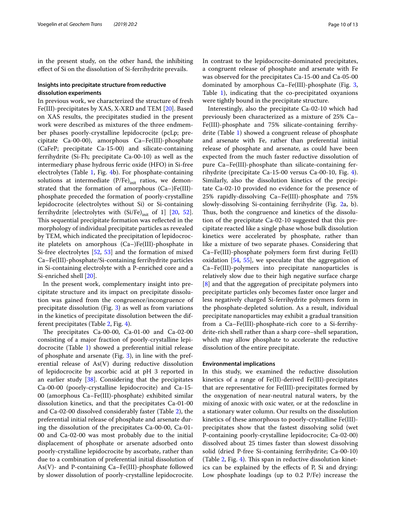in the present study, on the other hand, the inhibiting efect of Si on the dissolution of Si-ferrihydrite prevails.

# **Insights into precipitate structure from reductive dissolution experiments**

In previous work, we characterized the structure of fresh Fe(III)-precipitates by XAS, X-XRD and TEM [[20](#page-11-13)]. Based on XAS results, the precipitates studied in the present work were described as mixtures of the three endmember phases poorly-crystalline lepidocrocite (pcLp; precipitate Ca-00-00), amorphous Ca–Fe(III)-phosphate (CaFeP; precipitate Ca-15-00) and silicate-containing ferrihydrite (Si-Fh; precipitate Ca-00-10) as well as the intermediary phase hydrous ferric oxide (HFO) in Si-free electrolytes (Table [1,](#page-2-0) Fig. [4b](#page-7-0)). For phosphate-containing solutions at intermediate  $(P/Fe)_{init}$  ratios, we demonstrated that the formation of amorphous (Ca–)Fe(III) phosphate preceded the formation of poorly-crystalline lepidocrocite (electrolytes without Si) or Si-containing ferrihydrite [electrolytes with  $(Si/Fe)_{init}$  of 1] [\[20,](#page-11-13) [52](#page-12-7)]. This sequential precipitate formation was reflected in the morphology of individual precipitate particles as revealed by TEM, which indicated the precipitation of lepidocrocite platelets on amorphous (Ca–)Fe(III)-phosphate in Si-free electrolytes [[52,](#page-12-7) [53](#page-12-8)] and the formation of mixed Ca–Fe(III)-phosphate/Si-containing ferrihydrite particles in Si-containing electrolyte with a P-enriched core and a Si-enriched shell [\[20](#page-11-13)].

In the present work, complementary insight into precipitate structure and its impact on precipitate dissolution was gained from the congruence/incongruence of precipitate dissolution (Fig. [3](#page-6-1)) as well as from variations in the kinetics of precipitate dissolution between the different precipitates (Table [2,](#page-6-0) Fig. [4\)](#page-7-0).

The precipitates Ca-00-00, Ca-01-00 and Ca-02-00 consisting of a major fraction of poorly-crystalline lepidocrocite (Table [1\)](#page-2-0) showed a preferential initial release of phosphate and arsenate (Fig. [3\)](#page-6-1), in line with the preferential release of As(V) during reductive dissolution of lepidocrocite by ascorbic acid at pH 3 reported in an earlier study [[38\]](#page-11-23). Considering that the precipitates Ca-00-00 (poorly-crystalline lepidocrocite) and Ca-15- 00 (amorphous Ca–Fe(III)-phosphate) exhibited similar dissolution kinetics, and that the precipitates Ca-01-00 and Ca-02-00 dissolved considerably faster (Table [2](#page-6-0)), the preferential initial release of phosphate and arsenate during the dissolution of the precipitates Ca-00-00, Ca-01- 00 and Ca-02-00 was most probably due to the initial displacement of phosphate or arsenate adsorbed onto poorly-crystalline lepidocrocite by ascorbate, rather than due to a combination of preferential initial dissolution of As(V)- and P-containing Ca–Fe(III)-phosphate followed by slower dissolution of poorly-crystalline lepidocrocite.

In contrast to the lepidocrocite-dominated precipitates, a congruent release of phosphate and arsenate with Fe was observed for the precipitates Ca-15-00 and Ca-05-00 dominated by amorphous Ca–Fe(III)-phosphate (Fig. [3](#page-6-1), Table [1](#page-2-0)), indicating that the co-precipitated oxyanions were tightly bound in the precipitate structure.

Interestingly, also the precipitate Ca-02-10 which had previously been characterized as a mixture of 25% Ca– Fe(III)-phosphate and 75% silicate-containing ferrihydrite (Table [1\)](#page-2-0) showed a congruent release of phosphate and arsenate with Fe, rather than preferential initial release of phosphate and arsenate, as could have been expected from the much faster reductive dissolution of pure Ca–Fe(III)-phosphate than silicate-containing ferrihydrite (precipitate Ca-15-00 versus Ca-00-10, Fig. [4](#page-7-0)). Similarly, also the dissolution kinetics of the precipitate Ca-02-10 provided no evidence for the presence of 25% rapidly-dissolving Ca–Fe(III)-phosphate and 75% slowly-dissolving Si-containing ferrihydrite (Fig. [2a](#page-5-0), b). Thus, both the congruence and kinetics of the dissolution of the precipitate Ca-02-10 suggested that this precipitate reacted like a single phase whose bulk dissolution kinetics were accelerated by phosphate, rather than like a mixture of two separate phases. Considering that Ca–Fe(III)-phosphate polymers form frst during Fe(II) oxidation [\[54](#page-12-9), [55\]](#page-12-10), we speculate that the aggregation of Ca–Fe(III)-polymers into precipitate nanoparticles is relatively slow due to their high negative surface charge [[8\]](#page-11-6) and that the aggregation of precipitate polymers into precipitate particles only becomes faster once larger and less negatively charged Si-ferrihydrite polymers form in the phosphate-depleted solution. As a result, individual precipitate nanoparticles may exhibit a gradual transition from a Ca–Fe(III)-phosphate-rich core to a Si-ferrihydrite-rich shell rather than a sharp core–shell separation, which may allow phosphate to accelerate the reductive dissolution of the entire precipitate.

#### **Environmental implications**

In this study, we examined the reductive dissolution kinetics of a range of Fe(II)-derived Fe(III)-precipitates that are representative for Fe(III)-precipitates formed by the oxygenation of near-neutral natural waters, by the mixing of anoxic with oxic water, or at the redoxcline in a stationary water column. Our results on the dissolution kinetics of these amorphous to poorly-crystalline Fe(III) precipitates show that the fastest dissolving solid (wet P-containing poorly-crystalline lepidocrocite; Ca-02-00) dissolved about 25 times faster than slowest dissolving solid (dried P-free Si-containing ferrihydrite; Ca-00-10) (Table  $2$ , Fig. [4](#page-7-0)). This span in reductive dissolution kinetics can be explained by the efects of P, Si and drying: Low phosphate loadings (up to 0.2 P/Fe) increase the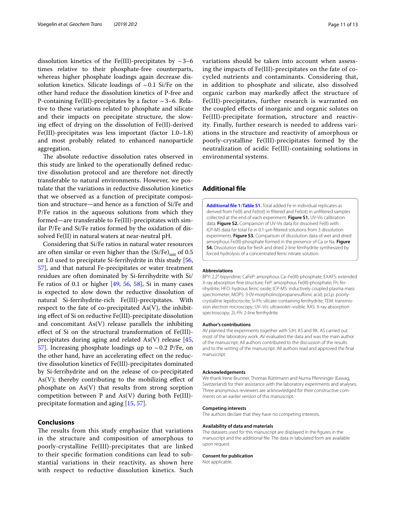dissolution kinetics of the Fe(III)-precipitates by  $\sim$  3–6 times relative to their phosphate-free counterparts, whereas higher phosphate loadings again decrease dissolution kinetics. Silicate loadings of  $\sim 0.1$  Si/Fe on the other hand reduce the dissolution kinetics of P-free and P-containing Fe(III)-precipitates by a factor  $\sim$  3–6. Relative to these variations related to phosphate and silicate and their impacts on precipitate structure, the slowing efect of drying on the dissolution of Fe(II)-derived Fe(III)-precipitates was less important (factor 1.0–1.8) and most probably related to enhanced nanoparticle aggregation.

The absolute reductive dissolution rates observed in this study are linked to the operationally defned reductive dissolution protocol and are therefore not directly transferable to natural environments. However, we postulate that the variations in reductive dissolution kinetics that we observed as a function of precipitate composition and structure—and hence as a function of Si/Fe and P/Fe ratios in the aqueous solutions from which they formed—are transferable to Fe(III)-precipitates with similar P/Fe and Si/Fe ratios formed by the oxidation of dissolved Fe(II) in natural waters at near-neutral pH.

Considering that Si/Fe ratios in natural water resources are often similar or even higher than the  $(Si/Fe)_{init}$  of 0.5 or 1.0 used to precipitate Si-ferrihydrite in this study [\[56](#page-12-11), [57\]](#page-12-12), and that natural Fe-precipitates or water treatment residues are often dominated by Si-ferrihydrite with Si/ Fe ratios of 0.1 or higher  $[49, 56, 58]$  $[49, 56, 58]$  $[49, 56, 58]$  $[49, 56, 58]$  $[49, 56, 58]$  $[49, 56, 58]$ , Si in many cases is expected to slow down the reductive dissolution of natural Si-ferrihydrite-rich Fe(III)-precipitates. With respect to the fate of co-precipitated  $As(V)$ , the inhibiting efect of Si on reductive Fe(III)-precipitate dissolution and concomitant  $As(V)$  release parallels the inhibiting efect of Si on the structural transformation of Fe(III) precipitates during aging and related As(V) release [\[45](#page-12-3), [57\]](#page-12-12). Increasing phosphate loadings up to  $\sim$  0.2 P/Fe, on the other hand, have an accelerating efect on the reductive dissolution kinetics of Fe(III)-precipitates dominated by Si-ferrihydrite and on the release of co-precipitated As(V); thereby contributing to the mobilizing effect of phosphate on As(V) that results from strong sorption competition between P and  $As(V)$  during both Fe(III)precipitate formation and aging [\[15](#page-11-29), [57](#page-12-12)].

# **Conclusions**

The results from this study emphasize that variations in the structure and composition of amorphous to poorly-crystalline Fe(III)-precipitates that are linked to their specifc formation conditions can lead to substantial variations in their reactivity, as shown here with respect to reductive dissolution kinetics. Such variations should be taken into account when assessing the impacts of Fe(III)-precipitates on the fate of cocycled nutrients and contaminants. Considering that, in addition to phosphate and silicate, also dissolved organic carbon may markedly afect the structure of Fe(III)-precipitates, further research is warranted on the coupled efects of inorganic and organic solutes on Fe(III)-precipitate formation, structure and reactivity. Finally, further research is needed to address variations in the structure and reactivity of amorphous or poorly-crystalline Fe(III)-precipitates formed by the neutralization of acidic Fe(III)-containing solutions in environmental systems.

## **Additional fle**

<span id="page-10-0"></span>**[Additional fle 1: Table S1.](https://doi.org/10.1186/s12932-019-0062-2)** Total added Fe in individual replicates as derived from Fe(II) and Fe(tot) in fltered and Fe(tot) in unfltered samples collected at the end of each experiment. **Figure S1.** UV-Vis calibration data. **Figure S2.** Comparison of UV-Vis data for dissolved Fe(II) with ICP-MS data for total Fe in 0.1-µm fltered solutions from 3 dissolution experiments. **Figure S3.** Comparison of dissolution data of wet and dried amorphous Fe(III)-phosphate formed in the presence of Ca or Na. **Figure S4.** Dissolution data for fresh and dried 2-line ferrihydrite synthesized by forced hydrolysis of a concentrated ferric nitrate solution.

#### **Abbreviations**

BPY: 2,2′-bipyridine; CaFeP: amorphous Ca–Fe(III)-phosphate; EXAFS: extended X-ray absorption fne structure; FeP: amorphous Fe(III)-phosphate; Fh: fer‑ rihydrite; HFO: hydrous ferric oxide; ICP-MS: inductively coupled plasma mass spectrometer; MOPS: 3-(*N*-morpholino)propanesulfonic acid; pcLp: poorlycrystalline lepidocrocite; Si-Fh: silicate-containing ferrihydrite; TEM: transmis‑ sion electron microscopy; UV–Vis: ultraviolet–visible; XAS: X-ray absorption spectroscopy; 2L-Fh: 2-line ferrihydrite.

#### **Author's contributions**

AV planned the experiments together with SJH, AS and RK. AS carried out most of the laboratory work. AV evaluated the data and was the main author of the manuscript. All authors contributed to the discussion of the results and to the writing of the manuscript. All authors read and approved the fnal manuscript.

#### **Acknowledgements**

We thank Irene Brunner, Thomas Rüttimann and Numa Pfenninger (Eawag, Switzerland) for their assistance with the laboratory experiments and analyses. Three anonymous reviewers are acknowledged for their constructive comments on an earlier version of this manuscript.

#### **Competing interests**

The authors declare that they have no competing interests.

#### **Availability of data and materials**

The datasets used for this manuscript are displayed in the figures in the manuscript and the additional fle. The data in tabulated form are available upon request.

#### **Consent for publication**

Not applicable.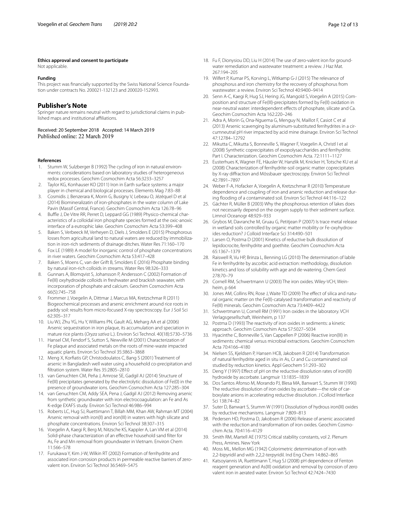#### **Ethics approval and consent to participate**

Not applicable.

#### **Funding**

This project was financially supported by the Swiss National Science Foundation under contracts No. 200021-132123 and 200020-152993.

# **Publisher's Note**

Springer nature remains neutral with regard to jurisdictional claims in published maps and institutional afliations.

Received: 20 September 2018 Accepted: 14 March 2019 Published online: 22 March 2019

#### **References**

- <span id="page-11-0"></span>Stumm W, Sulzberger B (1992) The cycling of iron in natural environments: considerations based on laboratory studies of heterogeneous redox processes. Geochim Cosmochim Acta 56:3233–3257
- <span id="page-11-1"></span>2. Taylor KG, Konhauser KO (2011) Iron in Earth surface systems: a major player in chemical and biological processes. Elements Mag 7:83–88
- <span id="page-11-2"></span>3. Cosmidis J, Benzerara K, Morin G, Busigny V, Lebeau O, Jézéquel D et al (2014) Biomineralizatin of iron-phosphates in the water column of Lake Pavin (Massif Central, France). Geochim Cosmochim Acta 126:78–96
- <span id="page-11-3"></span>4. Buffle J, De Vitre RR, Perret D, Leppard GG (1989) Physico-chemical characteristics of a colloidal iron phosphate species formed at the oxic-anoxic interface of a eutrophic lake. Geochim Cosmochim Acta 53:399–408
- <span id="page-11-4"></span>5. Baken S, Verbeeck M, Verheyen D, Diels J, Smolders E (2015) Phosphorous losses from agricultural land to natural waters are reduced by immobilization in iron-rich sediments of drainage ditches. Water Res 71:160–170
- 6. Fox LE (1989) A model for inorganic control of phosphate concentrations in river waters. Geochim Cosmochim Acta 53:417–428
- <span id="page-11-5"></span>7. Baken S, Moens C, van der Grift B, Smolders E (2016) Phosphate binding by natural iron-rich colloids in streams. Water Res 98:326–333
- <span id="page-11-6"></span>8. Gunnars A, Blomqvist S, Johansson P, Andersson C (2002) Formation of Fe(III) oxyhydroxide colloids in freshwater and brackish seawater, with incorporation of phosphate and calcium. Geochim Cosmochim Acta 66(5):745–758
- <span id="page-11-7"></span>9. Frommer J, Voegelin A, Dittmar J, Marcus MA, Kretzschmar R (2011) Biogeochemical processes and arsenic enrichment around rice roots in paddy soil: results from micro-focused X-ray spectroscopy. Eur J Soil Sci 62:305–317
- 10. Liu WJ, Zhu YG, Hu Y, Williams PN, Gault AG, Meharg AA et al (2006) Arsenic sequestration in iron plaque, its accumulation and speciation in mature rice plants (*Oryza sativa* L.). Environ Sci Technol. 40(18):5730–5736
- <span id="page-11-8"></span>11. Hansel CM, Fendorf S, Sutton S, Newville M (2001) Characterization of Fe plaque and associated metals on the roots of mine-waste impacted aquatic plants. Environ Sci Technol 35:3863–3868
- <span id="page-11-9"></span>12. Meng X, Korfatis GP, Christodoulatos C, Bang S (2001) Treatment of arsenic in Bangladesh well water using a household co-precipitation and fltration system. Water Res 35:2805–2810
- 13. van Genuchten CM, Peña J, Amrose SE, Gadgil AJ (2014) Structure of Fe(III) precipitates generated by the electrolytic dissolution of Fe(0) in the presence of groundwater ions. Geochim Cosmochim Acta 127:285–304
- 14. van Genuchten CM, Addy SEA, Pena J, Gadgil AJ (2012) Removing arsenic from synthetic groundwater with iron electrocoagulation: an Fe and As K-edge EXAFS study. Environ Sci Technol 46:986–994
- <span id="page-11-29"></span>15. Roberts LC, Hug SJ, Ruettimann T, Billah MM, Khan AW, Rahman MT (2004) Arsenic removal with iron(II) and iron(III) in waters with high silicate and phosphate concentrations. Environ Sci Technol 38:307–315
- <span id="page-11-10"></span>16. Voegelin A, Kaegi R, Berg M, Nitzsche KS, Kappler A, Lan VM et al (2014) Solid-phase characterization of an efective household sand flter for As, Fe and Mn removal from groundwater in Vietnam. Environ Chem 11:566–578
- <span id="page-11-11"></span>17. Furukawa Y, Kim J-W, Wilkin RT (2002) Formation of ferrihydrite and associated iron corrosion products in permeable reactive barriers of zerovalent iron. Environ Sci Technol 36:5469–5475
- 18. Fu F, Dionysiou DD, Liu H (2014) The use of zero-valent iron for groundwater remediation and wastewater treatment: a review. J Haz Mat. 267:194–205
- <span id="page-11-12"></span>19. Wilfert P, Kumar PS, Korving L, Witkamp G-J (2015) The relevance of phosphorus and iron chemistry for the recovery of phosphorus from wastewater: a review. Environ Sci Technol 40:9400–9414
- <span id="page-11-13"></span>20. Senn A-C, Kaegi R, Hug SJ, Hering JG, Mangold S, Voegelin A (2015) Composition and structure of Fe(III)-precipitates formed by Fe(II) oxidation in near-neutral water: interdependent efects of phosphate, silicate and Ca. Geochim Cosmochim Acta 162:220–246
- 21. Adra A, Morin G, Ona-Nguema G, Menguy N, Maillot F, Casiot C et al (2013) Arsenic scavenging by aluminum-substituted ferrihydrites in a cir‑ cumneutral pH river impacted by acid mine drainage. Environ Sci Technol 47:12784–12792
- 22. Mikutta C, Mikutta S, Bonneville S, Wagner F, Voegelin A, Christl I et al (2008) Synthetic coprecipitates of exopolysaccharides and ferrihydrite. Part I. Characterization. Geochim Cosmochim Acta. 72:1111–1127
- <span id="page-11-14"></span>23. Eusterhues K, Wagner FE, Häusler W, Hanzlik M, Knicker H, Totsche KU et al (2008) Characterization of ferrihydrite-soil organic matter coprecipitates by X-ray difraction and Mössbauer spectroscopy. Environ Sci Technol 42:7891–7897
- <span id="page-11-15"></span>24. Weber F-A, Hofacker A, Voegelin A, Kretzschmar R (2010) Temperature dependence and coupling of iron and arsenic reduction and release during fooding of a contaminated soil. Environ Sci Technol 44:116–122
- 25. Gächter R, Müller B (2003) Why the phosphorous retention of lakes does not necessarily depend on the oxygen supply to their sediment surface. Limnol Oceanogr 48:929–933
- <span id="page-11-16"></span>26. Grybos M, Davranche M, Gruau G, Petitjean P (2007) Is trace metal release in wetland soils controlled by organic matter mobility or Fe-oxyhydroxides reduction? J Colloid Interface Sci 314:490–501
- <span id="page-11-17"></span>27. Larsen O, Postma D (2001) Kinetics of reductive bulk dissolution of lepidocrocite, ferrihydrite and goethite. Geochim Cosmochim Acta 65:1367–1379
- <span id="page-11-19"></span>28. Raiswell R, Vu HP, Brinza L, Benning LG (2010) The determination of labile Fe in ferrihydrite by ascorbic acid extraction: methodology, dissolution kinetics and loss of solubility with age and de-watering. Chem Geol 278:70–79
- 29. Cornell RM, Schwertmann U (2003) The iron oxides. Wiley-VCH, Weinheim, p 664
- <span id="page-11-18"></span>30. Jones AM, Collins RN, Rose J, Waite TD (2009) The effect of silica and natural organic matter on the Fe(II)-catalysed transformation and reactivity of Fe(III) minerals. Geochim Cosmochim Acta 73:4409–4422
- <span id="page-11-20"></span>31. Schwertmann U, Cornell RM (1991) Iron oxides in the laboratory. VCH Verlagsgesellschaft, Weinheim, p 137
- <span id="page-11-21"></span>32. Postma D (1993) The reactivity of iron oxides in sediments: a kinetic approach. Geochim Cosmochim Acta 57:5027–5034
- 33. Hyacinthe C, Bonneville S, Van Cappellen P (2006) Reactive iron(III) in sediments: chemical versus microbial extractions. Geochim Cosmochim Acta 70:4166–4180
- <span id="page-11-28"></span>34. Nielsen SS, Kjeldsen P, Hansen HCB, Jakobsen R (2014) Transformation of natural ferrihydrite aged in situ in As, Cr and Cu contaminated soil studied by reduction kinetics. Appl Geochem 51:293–302
- 35. Deng Y (1997) Efect of pH on the reductive dissolution rates of iron(III) hydroxide by ascorbate. Langmuir 13:1835–1839
- <span id="page-11-27"></span>36. Dos Santos Afonso M, Morando PJ, Blesa MA, Banwart S, Stumm W (1990) The reductive dissolution of iron oxides by ascorbate—the role of carboxylate anions in accelerating reductive dissolution. J Colloid Interface Sci 138:74–82
- <span id="page-11-22"></span>37. Suter D, Banwart S, Stumm W (1991) Dissolution of hydrous iron(III) oxides by reductive mechanisms. Langmuir 7:809–813
- <span id="page-11-23"></span>38. Pedersen HD, Postma D, Jakobsen R (2006) Release of arsenic associated with the reduction and transformation of iron oxides. Geochim Cosmochim Acta. 70:4116–4129
- <span id="page-11-24"></span>39. Smith RM, Martell AE (1975) Critical stability constants, vol 2. Plenum Press, Amines. New York
- <span id="page-11-25"></span>40. Moss ML, Mellon MG (1942) Colorimetric determination of iron with 2,2-bipyridil and with 2,2,2-terpyridil. Ind Eng Chem 14:862–865
- <span id="page-11-26"></span>41. Katsoyiannis IA, Ruettimann T, Hug SJ (2008) pH dependence of Fenton reagent generation and As(III) oxidation and removal by corrosion of zero valent iron in aerated water. Environ Sci Technol 42:7424–7430